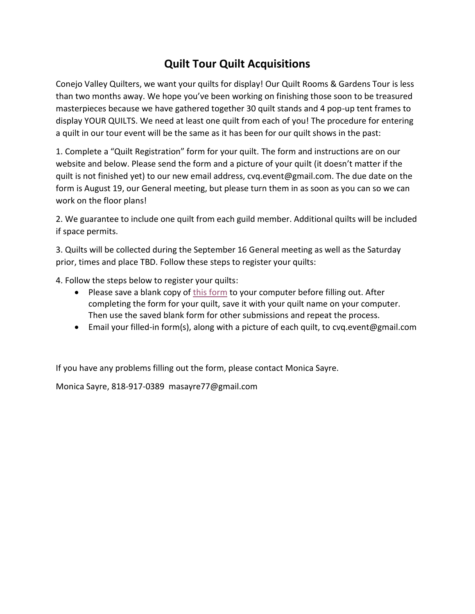# **Quilt Tour Quilt Acquisitions**

Conejo Valley Quilters, we want your quilts for display! Our Quilt Rooms & Gardens Tour is less than two months away. We hope you've been working on finishing those soon to be treasured masterpieces because we have gathered together 30 quilt stands and 4 pop-up tent frames to display YOUR QUILTS. We need at least one quilt from each of you! The procedure for entering a quilt in our tour event will be the same as it has been for our quilt shows in the past:

1. Complete a "Quilt Registration" form for your quilt. The form and instructions are on our website and below. Please send the form and a picture of your quilt (it doesn't matter if the quilt is not finished yet) to our new email address, cvq.event@gmail.com. The due date on the form is August 19, our General meeting, but please turn them in as soon as you can so we can work on the floor plans!

2. We guarantee to include one quilt from each guild member. Additional quilts will be included if space permits.

3. Quilts will be collected during the September 16 General meeting as well as the Saturday prior, times and place TBD. Follow these steps to register your quilts:

4. Follow the steps below to register your quilts:

- Please save a blank copy of [this form](https://docs.wixstatic.com/ugd/12d38f_778ff942743c4acfaf6d174c4efcd009.pdf) to your computer before filling out. After completing the form for your quilt, save it with your quilt name on your computer. Then use the saved blank form for other submissions and repeat the process.
- Email your filled-in form(s), along with a picture of each quilt, to [cvq.event@gmail.com](mailto:cvq.event@gmail.com)

If you have any problems filling out the form, please contact Monica Sayre.

Monica Sayre, 818-917-0389 masayre77@gmail.com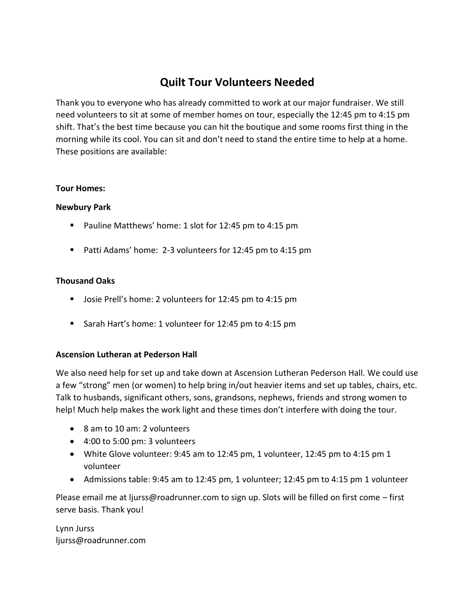## **Quilt Tour Volunteers Needed**

Thank you to everyone who has already committed to work at our major fundraiser. We still need volunteers to sit at some of member homes on tour, especially the 12:45 pm to 4:15 pm shift. That's the best time because you can hit the boutique and some rooms first thing in the morning while its cool. You can sit and don't need to stand the entire time to help at a home. These positions are available:

#### **Tour Homes:**

#### **Newbury Park**

- Pauline Matthews' home: 1 slot for 12:45 pm to 4:15 pm
- Patti Adams' home: 2-3 volunteers for 12:45 pm to 4:15 pm

#### **Thousand Oaks**

- Josie Prell's home: 2 volunteers for 12:45 pm to 4:15 pm
- Sarah Hart's home: 1 volunteer for 12:45 pm to 4:15 pm

#### **Ascension Lutheran at Pederson Hall**

We also need help for set up and take down at Ascension Lutheran Pederson Hall. We could use a few "strong" men (or women) to help bring in/out heavier items and set up tables, chairs, etc. Talk to husbands, significant others, sons, grandsons, nephews, friends and strong women to help! Much help makes the work light and these times don't interfere with doing the tour.

- 8 am to 10 am: 2 volunteers
- 4:00 to 5:00 pm: 3 volunteers
- White Glove volunteer: 9:45 am to 12:45 pm, 1 volunteer, 12:45 pm to 4:15 pm 1 volunteer
- Admissions table: 9:45 am to 12:45 pm, 1 volunteer; 12:45 pm to 4:15 pm 1 volunteer

Please email me at ljurss@roadrunner.com to sign up. Slots will be filled on first come – first serve basis. Thank you!

Lynn Jurss ljurss@roadrunner.com